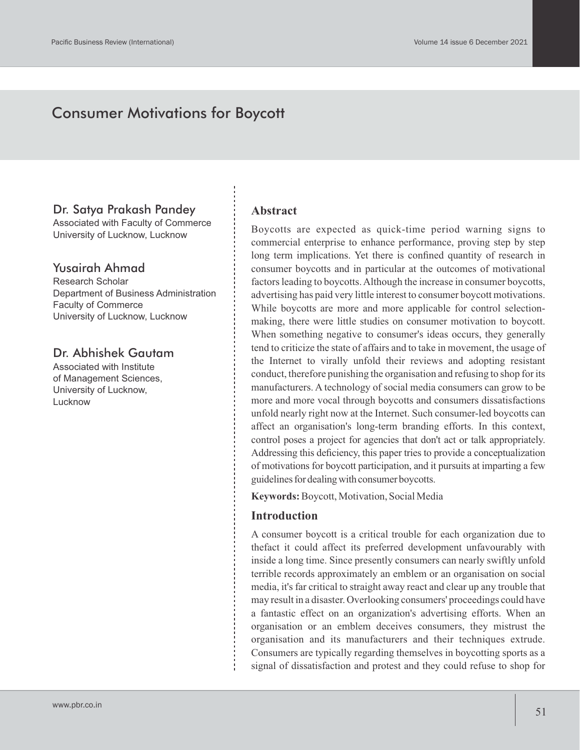# Consumer Motivations for Boycott

### Dr. Satya Prakash Pandey

Associated with Faculty of Commerce University of Lucknow, Lucknow

### Yusairah Ahmad

Research Scholar Department of Business Administration Faculty of Commerce University of Lucknow, Lucknow

# Dr. Abhishek Gautam

Associated with Institute of Management Sciences, University of Lucknow, Lucknow

#### **Abstract**

Boycotts are expected as quick-time period warning signs to commercial enterprise to enhance performance, proving step by step long term implications. Yet there is confined quantity of research in consumer boycotts and in particular at the outcomes of motivational factors leading to boycotts. Although the increase in consumer boycotts, advertising has paid very little interest to consumer boycott motivations. While boycotts are more and more applicable for control selectionmaking, there were little studies on consumer motivation to boycott. When something negative to consumer's ideas occurs, they generally tend to criticize the state of affairs and to take in movement, the usage of the Internet to virally unfold their reviews and adopting resistant conduct, therefore punishing the organisation and refusing to shop for its manufacturers. A technology of social media consumers can grow to be more and more vocal through boycotts and consumers dissatisfactions unfold nearly right now at the Internet. Such consumer-led boycotts can affect an organisation's long-term branding efforts. In this context, control poses a project for agencies that don't act or talk appropriately. Addressing this deficiency, this paper tries to provide a conceptualization of motivations for boycott participation, and it pursuits at imparting a few guidelines for dealing with consumer boycotts.

**Keywords:**Boycott, Motivation, Social Media

#### **Introduction**

A consumer boycott is a critical trouble for each organization due to thefact it could affect its preferred development unfavourably with inside a long time. Since presently consumers can nearly swiftly unfold terrible records approximately an emblem or an organisation on social media, it's far critical to straight away react and clear up any trouble that may result in a disaster. Overlooking consumers' proceedings could have a fantastic effect on an organization's advertising efforts. When an organisation or an emblem deceives consumers, they mistrust the organisation and its manufacturers and their techniques extrude. Consumers are typically regarding themselves in boycotting sports as a signal of dissatisfaction and protest and they could refuse to shop for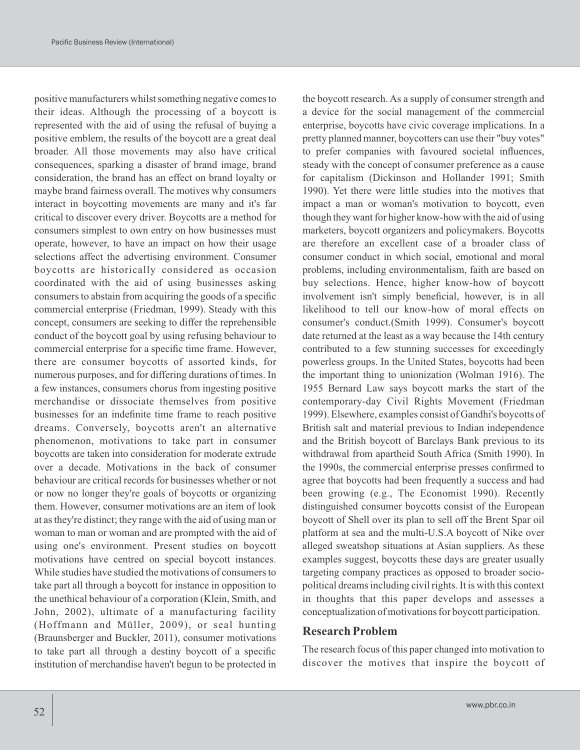positive manufacturers whilst something negative comes to their ideas. Although the processing of a boycott is represented with the aid of using the refusal of buying a positive emblem, the results of the boycott are a great deal broader. All those movements may also have critical consequences, sparking a disaster of brand image, brand consideration, the brand has an effect on brand loyalty or maybe brand fairness overall. The motives why consumers interact in boycotting movements are many and it's far critical to discover every driver. Boycotts are a method for consumers simplest to own entry on how businesses must operate, however, to have an impact on how their usage selections affect the advertising environment. Consumer boycotts are historically considered as occasion coordinated with the aid of using businesses asking consumers to abstain from acquiring the goods of a specific commercial enterprise (Friedman, 1999). Steady with this concept, consumers are seeking to differ the reprehensible conduct of the boycott goal by using refusing behaviour to commercial enterprise for a specific time frame. However, there are consumer boycotts of assorted kinds, for numerous purposes, and for differing durations of times. In a few instances, consumers chorus from ingesting positive merchandise or dissociate themselves from positive businesses for an indefinite time frame to reach positive dreams. Conversely, boycotts aren't an alternative phenomenon, motivations to take part in consumer boycotts are taken into consideration for moderate extrude over a decade. Motivations in the back of consumer behaviour are critical records for businesses whether or not or now no longer they're goals of boycotts or organizing them. However, consumer motivations are an item of look at as they're distinct; they range with the aid of using man or woman to man or woman and are prompted with the aid of using one's environment. Present studies on boycott motivations have centred on special boycott instances. While studies have studied the motivations of consumers to take part all through a boycott for instance in opposition to the unethical behaviour of a corporation (Klein, Smith, and John, 2002), ultimate of a manufacturing facility (Hoffmann and Müller, 2009), or seal hunting (Braunsberger and Buckler, 2011), consumer motivations to take part all through a destiny boycott of a specific institution of merchandise haven't begun to be protected in

the boycott research. As a supply of consumer strength and a device for the social management of the commercial enterprise, boycotts have civic coverage implications. In a pretty planned manner, boycotters can use their "buy votes" to prefer companies with favoured societal influences, steady with the concept of consumer preference as a cause for capitalism (Dickinson and Hollander 1991; Smith 1990). Yet there were little studies into the motives that impact a man or woman's motivation to boycott, even though they want for higher know-how with the aid of using marketers, boycott organizers and policymakers. Boycotts are therefore an excellent case of a broader class of consumer conduct in which social, emotional and moral problems, including environmentalism, faith are based on buy selections. Hence, higher know-how of boycott involvement isn't simply beneficial, however, is in all likelihood to tell our know-how of moral effects on consumer's conduct.(Smith 1999). Consumer's boycott date returned at the least as a way because the 14th century contributed to a few stunning successes for exceedingly powerless groups. In the United States, boycotts had been the important thing to unionization (Wolman 1916). The 1955 Bernard Law says boycott marks the start of the contemporary-day Civil Rights Movement (Friedman 1999). Elsewhere, examples consist of Gandhi's boycotts of British salt and material previous to Indian independence and the British boycott of Barclays Bank previous to its withdrawal from apartheid South Africa (Smith 1990). In the 1990s, the commercial enterprise presses confirmed to agree that boycotts had been frequently a success and had been growing (e.g., The Economist 1990). Recently distinguished consumer boycotts consist of the European boycott of Shell over its plan to sell off the Brent Spar oil platform at sea and the multi-U.S.A boycott of Nike over alleged sweatshop situations at Asian suppliers. As these examples suggest, boycotts these days are greater usually targeting company practices as opposed to broader sociopolitical dreams including civil rights. It is with this context in thoughts that this paper develops and assesses a conceptualization of motivations for boycott participation.

#### **Research Problem**

The research focus of this paper changed into motivation to discover the motives that inspire the boycott of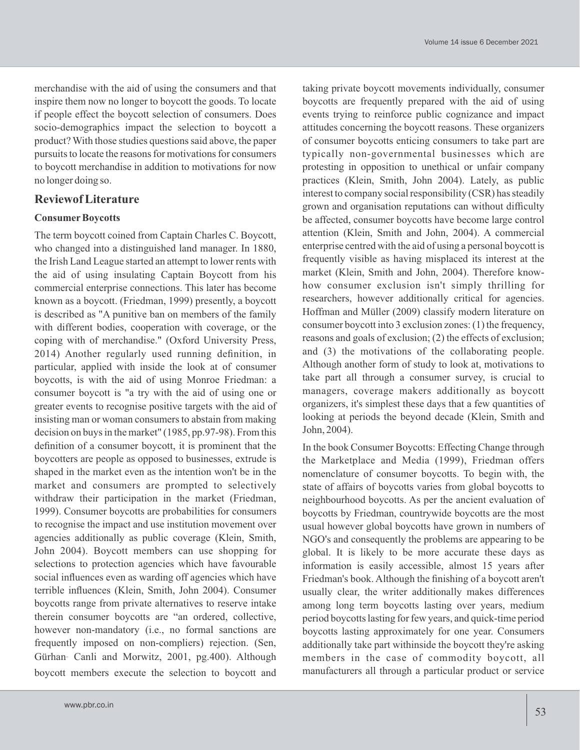merchandise with the aid of using the consumers and that inspire them now no longer to boycott the goods. To locate if people effect the boycott selection of consumers. Does socio-demographics impact the selection to boycott a product? With those studies questions said above, the paper pursuits to locate the reasons for motivations for consumers to boycott merchandise in addition to motivations for now no longer doing so.

### **Reviewof Literature**

#### **Consumer Boycotts**

The term boycott coined from Captain Charles C. Boycott, who changed into a distinguished land manager. In 1880, the Irish Land League started an attempt to lower rents with the aid of using insulating Captain Boycott from his commercial enterprise connections. This later has become known as a boycott. (Friedman, 1999) presently, a boycott is described as "A punitive ban on members of the family with different bodies, cooperation with coverage, or the coping with of merchandise." (Oxford University Press, 2014) Another regularly used running definition, in particular, applied with inside the look at of consumer boycotts, is with the aid of using Monroe Friedman: a consumer boycott is "a try with the aid of using one or greater events to recognise positive targets with the aid of insisting man or woman consumers to abstain from making decision on buys in the market" (1985, pp.97-98). From this definition of a consumer boycott, it is prominent that the boycotters are people as opposed to businesses, extrude is shaped in the market even as the intention won't be in the market and consumers are prompted to selectively withdraw their participation in the market (Friedman, 1999). Consumer boycotts are probabilities for consumers to recognise the impact and use institution movement over agencies additionally as public coverage (Klein, Smith, John 2004). Boycott members can use shopping for selections to protection agencies which have favourable social influences even as warding off agencies which have terrible influences (Klein, Smith, John 2004). Consumer boycotts range from private alternatives to reserve intake therein consumer boycotts are "an ordered, collective, however non-mandatory (i.e., no formal sanctions are frequently imposed on non-compliers) rejection. (Sen, Gürhan- Canli and Morwitz, 2001, pg.400). Although boycott members execute the selection to boycott and

taking private boycott movements individually, consumer boycotts are frequently prepared with the aid of using events trying to reinforce public cognizance and impact attitudes concerning the boycott reasons. These organizers of consumer boycotts enticing consumers to take part are typically non-governmental businesses which are protesting in opposition to unethical or unfair company practices (Klein, Smith, John 2004). Lately, as public interest to company social responsibility (CSR) has steadily grown and organisation reputations can without difficulty be affected, consumer boycotts have become large control attention (Klein, Smith and John, 2004). A commercial enterprise centred with the aid of using a personal boycott is frequently visible as having misplaced its interest at the market (Klein, Smith and John, 2004). Therefore knowhow consumer exclusion isn't simply thrilling for researchers, however additionally critical for agencies. Hoffman and Müller (2009) classify modern literature on consumer boycott into 3 exclusion zones: (1) the frequency, reasons and goals of exclusion; (2) the effects of exclusion; and (3) the motivations of the collaborating people. Although another form of study to look at, motivations to take part all through a consumer survey, is crucial to managers, coverage makers additionally as boycott organizers, it's simplest these days that a few quantities of looking at periods the beyond decade (Klein, Smith and John, 2004).

In the book Consumer Boycotts: Effecting Change through the Marketplace and Media (1999), Friedman offers nomenclature of consumer boycotts. To begin with, the state of affairs of boycotts varies from global boycotts to neighbourhood boycotts. As per the ancient evaluation of boycotts by Friedman, countrywide boycotts are the most usual however global boycotts have grown in numbers of NGO's and consequently the problems are appearing to be global. It is likely to be more accurate these days as information is easily accessible, almost 15 years after Friedman's book. Although the finishing of a boycott aren't usually clear, the writer additionally makes differences among long term boycotts lasting over years, medium period boycotts lasting for few years, and quick-time period boycotts lasting approximately for one year. Consumers additionally take part withinside the boycott they're asking members in the case of commodity boycott, all manufacturers all through a particular product or service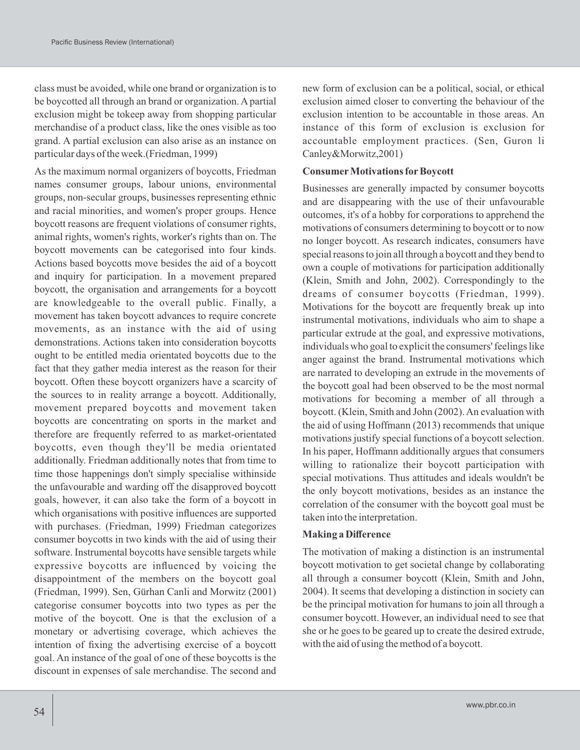class must be avoided, while one brand or organization is to be boycotted all through an brand or organization. A partial exclusion might be tokeep away from shopping particular merchandise of a product class, like the ones visible as too grand. A partial exclusion can also arise as an instance on particular days of the week.(Friedman, 1999)

As the maximum normal organizers of boycotts, Friedman names consumer groups, labour unions, environmental groups, non-secular groups, businesses representing ethnic and racial minorities, and women's proper groups. Hence boycott reasons are frequent violations of consumer rights, animal rights, women's rights, worker's rights than on. The boycott movements can be categorised into four kinds. Actions based boycotts move besides the aid of a boycott and inquiry for participation. In a movement prepared boycott, the organisation and arrangements for a boycott are knowledgeable to the overall public. Finally, a movement has taken boycott advances to require concrete movements, as an instance with the aid of using demonstrations. Actions taken into consideration boycotts ought to be entitled media orientated boycotts due to the fact that they gather media interest as the reason for their boycott. Often these boycott organizers have a scarcity of the sources to in reality arrange a boycott. Additionally, movement prepared boycotts and movement taken boycotts are concentrating on sports in the market and therefore are frequently referred to as market-orientated boycotts, even though they'll be media orientated additionally. Friedman additionally notes that from time to time those happenings don't simply specialise withinside the unfavourable and warding off the disapproved boycott goals, however, it can also take the form of a boycott in which organisations with positive influences are supported with purchases. (Friedman, 1999) Friedman categorizes consumer boycotts in two kinds with the aid of using their software. Instrumental boycotts have sensible targets while expressive boycotts are influenced by voicing the disappointment of the members on the boycott goal (Friedman, 1999). Sen, Gürhan Canli and Morwitz (2001) categorise consumer boycotts into two types as per the motive of the boycott. One is that the exclusion of a monetary or advertising coverage, which achieves the intention of fixing the advertising exercise of a boycott goal. An instance of the goal of one of these boycotts is the discount in expenses of sale merchandise. The second and

new form of exclusion can be a political, social, or ethical exclusion aimed closer to converting the behaviour of the exclusion intention to be accountable in those areas. An instance of this form of exclusion is exclusion for accountable employment practices. (Sen, Guron li Canley&Morwitz,2001)

#### **Consumer Motivations for Boycott**

Businesses are generally impacted by consumer boycotts and are disappearing with the use of their unfavourable outcomes, it's of a hobby for corporations to apprehend the motivations of consumers determining to boycott or to now no longer boycott. As research indicates, consumers have special reasons to join all through a boycott and they bend to own a couple of motivations for participation additionally (Klein, Smith and John, 2002). Correspondingly to the dreams of consumer boycotts (Friedman, 1999). Motivations for the boycott are frequently break up into instrumental motivations, individuals who aim to shape a particular extrude at the goal, and expressive motivations, individuals who goal to explicit the consumers' feelings like anger against the brand. Instrumental motivations which are narrated to developing an extrude in the movements of the boycott goal had been observed to be the most normal motivations for becoming a member of all through a boycott. (Klein, Smith and John (2002). An evaluation with the aid of using Hoffmann (2013) recommends that unique motivations justify special functions of a boycott selection. In his paper, Hoffmann additionally argues that consumers willing to rationalize their boycott participation with special motivations. Thus attitudes and ideals wouldn't be the only boycott motivations, besides as an instance the correlation of the consumer with the boycott goal must be taken into the interpretation.

#### **Making a Difference**

The motivation of making a distinction is an instrumental boycott motivation to get societal change by collaborating all through a consumer boycott (Klein, Smith and John, 2004). It seems that developing a distinction in society can be the principal motivation for humans to join all through a consumer boycott. However, an individual need to see that she or he goes to be geared up to create the desired extrude, with the aid of using the method of a boycott.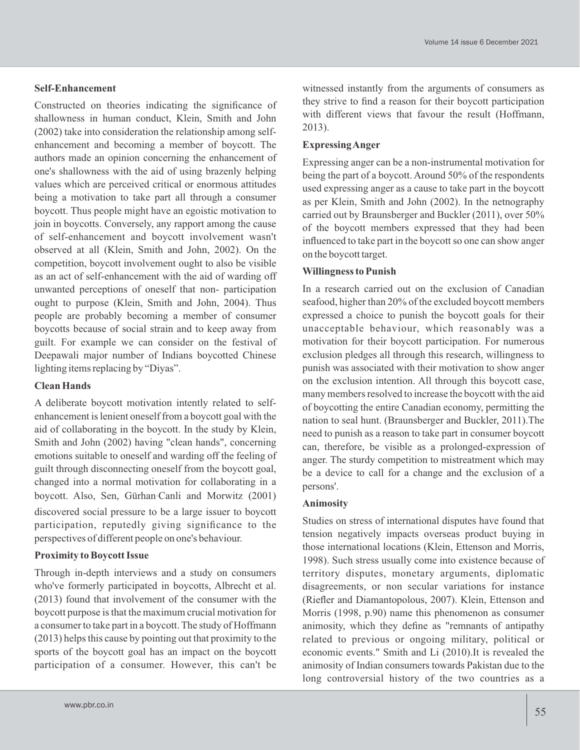### **Self-Enhancement**

Constructed on theories indicating the significance of shallowness in human conduct, Klein, Smith and John (2002) take into consideration the relationship among selfenhancement and becoming a member of boycott. The authors made an opinion concerning the enhancement of one's shallowness with the aid of using brazenly helping values which are perceived critical or enormous attitudes being a motivation to take part all through a consumer boycott. Thus people might have an egoistic motivation to join in boycotts. Conversely, any rapport among the cause of self-enhancement and boycott involvement wasn't observed at all (Klein, Smith and John, 2002). On the competition, boycott involvement ought to also be visible as an act of self-enhancement with the aid of warding off unwanted perceptions of oneself that non- participation ought to purpose (Klein, Smith and John, 2004). Thus people are probably becoming a member of consumer boycotts because of social strain and to keep away from guilt. For example we can consider on the festival of Deepawali major number of Indians boycotted Chinese lighting items replacing by "Diyas".

#### **Clean Hands**

A deliberate boycott motivation intently related to selfenhancement is lenient oneself from a boycott goal with the aid of collaborating in the boycott. In the study by Klein, Smith and John (2002) having "clean hands", concerning emotions suitable to oneself and warding off the feeling of guilt through disconnecting oneself from the boycott goal, changed into a normal motivation for collaborating in a boycott. Also, Sen, Gürhan-Canli and Morwitz (2001)

discovered social pressure to be a large issuer to boycott participation, reputedly giving significance to the perspectives of different people on one's behaviour.

### **Proximity to Boycott Issue**

Through in-depth interviews and a study on consumers who've formerly participated in boycotts, Albrecht et al. (2013) found that involvement of the consumer with the boycott purpose is that the maximum crucial motivation for a consumer to take part in a boycott. The study of Hoffmann (2013) helps this cause by pointing out that proximity to the sports of the boycott goal has an impact on the boycott participation of a consumer. However, this can't be

witnessed instantly from the arguments of consumers as they strive to find a reason for their boycott participation with different views that favour the result (Hoffmann, 2013).

#### **Expressing Anger**

Expressing anger can be a non-instrumental motivation for being the part of a boycott. Around 50% of the respondents used expressing anger as a cause to take part in the boycott as per Klein, Smith and John (2002). In the netnography carried out by Braunsberger and Buckler (2011), over 50% of the boycott members expressed that they had been influenced to take part in the boycott so one can show anger on the boycott target.

#### **Willingness to Punish**

In a research carried out on the exclusion of Canadian seafood, higher than 20% of the excluded boycott members expressed a choice to punish the boycott goals for their unacceptable behaviour, which reasonably was a motivation for their boycott participation. For numerous exclusion pledges all through this research, willingness to punish was associated with their motivation to show anger on the exclusion intention. All through this boycott case, many members resolved to increase the boycott with the aid of boycotting the entire Canadian economy, permitting the nation to seal hunt. (Braunsberger and Buckler, 2011).The need to punish as a reason to take part in consumer boycott can, therefore, be visible as a prolonged-expression of anger. The sturdy competition to mistreatment which may be a device to call for a change and the exclusion of a persons'.

### **Animosity**

Studies on stress of international disputes have found that tension negatively impacts overseas product buying in those international locations (Klein, Ettenson and Morris, 1998). Such stress usually come into existence because of territory disputes, monetary arguments, diplomatic disagreements, or non secular variations for instance (Riefler and Diamantopolous, 2007). Klein, Ettenson and Morris (1998, p.90) name this phenomenon as consumer animosity, which they define as "remnants of antipathy related to previous or ongoing military, political or economic events." Smith and Li (2010).It is revealed the animosity of Indian consumers towards Pakistan due to the long controversial history of the two countries as a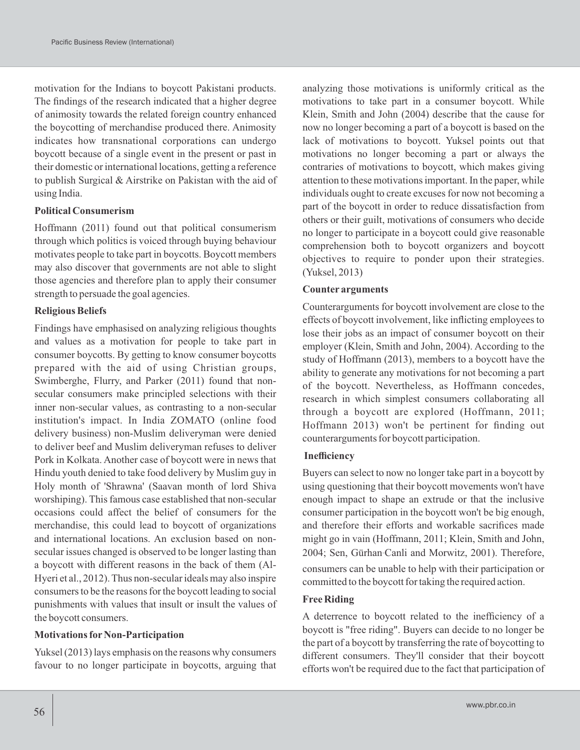motivation for the Indians to boycott Pakistani products. The findings of the research indicated that a higher degree of animosity towards the related foreign country enhanced the boycotting of merchandise produced there. Animosity indicates how transnational corporations can undergo boycott because of a single event in the present or past in their domestic or international locations, getting a reference to publish Surgical & Airstrike on Pakistan with the aid of using India.

#### **Political Consumerism**

Hoffmann (2011) found out that political consumerism through which politics is voiced through buying behaviour motivates people to take part in boycotts. Boycott members may also discover that governments are not able to slight those agencies and therefore plan to apply their consumer strength to persuade the goal agencies.

#### **Religious Beliefs**

Findings have emphasised on analyzing religious thoughts and values as a motivation for people to take part in consumer boycotts. By getting to know consumer boycotts prepared with the aid of using Christian groups, Swimberghe, Flurry, and Parker (2011) found that nonsecular consumers make principled selections with their inner non-secular values, as contrasting to a non-secular institution's impact. In India ZOMATO (online food delivery business) non-Muslim deliveryman were denied to deliver beef and Muslim deliveryman refuses to deliver Pork in Kolkata. Another case of boycott were in news that Hindu youth denied to take food delivery by Muslim guy in Holy month of 'Shrawna' (Saavan month of lord Shiva worshiping). This famous case established that non-secular occasions could affect the belief of consumers for the merchandise, this could lead to boycott of organizations and international locations. An exclusion based on nonsecular issues changed is observed to be longer lasting than a boycott with different reasons in the back of them (Al-Hyeri et al., 2012). Thus non-secular ideals may also inspire consumers to be the reasons for the boycott leading to social punishments with values that insult or insult the values of the boycott consumers.

#### **Motivations for Non-Participation**

Yuksel (2013) lays emphasis on the reasons why consumers favour to no longer participate in boycotts, arguing that analyzing those motivations is uniformly critical as the motivations to take part in a consumer boycott. While Klein, Smith and John (2004) describe that the cause for now no longer becoming a part of a boycott is based on the lack of motivations to boycott. Yuksel points out that motivations no longer becoming a part or always the contraries of motivations to boycott, which makes giving attention to these motivations important. In the paper, while individuals ought to create excuses for now not becoming a part of the boycott in order to reduce dissatisfaction from others or their guilt, motivations of consumers who decide no longer to participate in a boycott could give reasonable comprehension both to boycott organizers and boycott objectives to require to ponder upon their strategies. (Yuksel, 2013)

#### **Counter arguments**

Counterarguments for boycott involvement are close to the effects of boycott involvement, like inflicting employees to lose their jobs as an impact of consumer boycott on their employer (Klein, Smith and John, 2004). According to the study of Hoffmann (2013), members to a boycott have the ability to generate any motivations for not becoming a part of the boycott. Nevertheless, as Hoffmann concedes, research in which simplest consumers collaborating all through a boycott are explored (Hoffmann, 2011; Hoffmann 2013) won't be pertinent for finding out counterarguments for boycott participation.

#### **Inefficiency**

Buyers can select to now no longer take part in a boycott by using questioning that their boycott movements won't have enough impact to shape an extrude or that the inclusive consumer participation in the boycott won't be big enough, and therefore their efforts and workable sacrifices made might go in vain (Hoffmann, 2011; Klein, Smith and John, 2004; Sen, Gürhan-Canli and Morwitz, 2001). Therefore, consumers can be unable to help with their participation or committed to the boycott for taking the required action.

#### **Free Riding**

A deterrence to boycott related to the inefficiency of a boycott is "free riding". Buyers can decide to no longer be the part of a boycott by transferring the rate of boycotting to different consumers. They'll consider that their boycott efforts won't be required due to the fact that participation of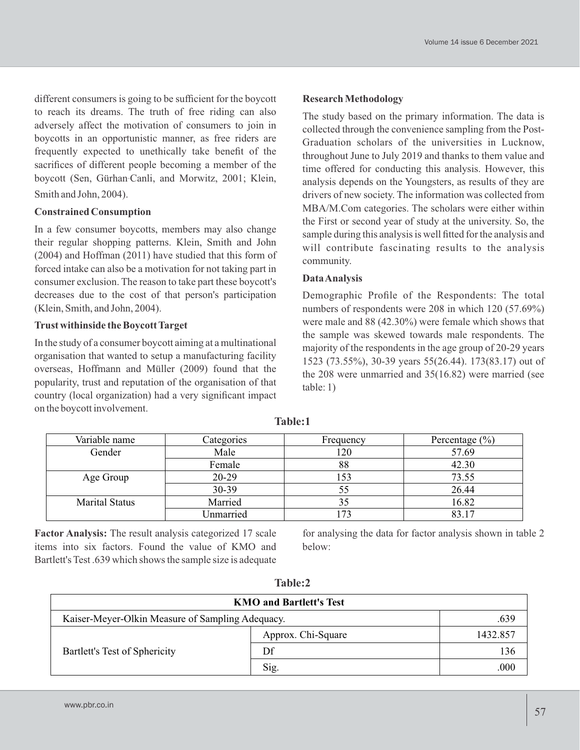different consumers is going to be sufficient for the boycott to reach its dreams. The truth of free riding can also adversely affect the motivation of consumers to join in boycotts in an opportunistic manner, as free riders are frequently expected to unethically take benefit of the sacrifices of different people becoming a member of the boycott (Sen, Gürhan-Canli, and Morwitz, 2001; Klein, Smith and John, 2004).

### **Constrained Consumption**

In a few consumer boycotts, members may also change their regular shopping patterns. Klein, Smith and John (2004) and Hoffman (2011) have studied that this form of forced intake can also be a motivation for not taking part in consumer exclusion. The reason to take part these boycott's decreases due to the cost of that person's participation (Klein, Smith, and John, 2004).

### **Trust withinside the Boycott Target**

In the study of a consumer boycott aiming at a multinational organisation that wanted to setup a manufacturing facility overseas, Hoffmann and Müller (2009) found that the popularity, trust and reputation of the organisation of that country (local organization) had a very significant impact on the boycott involvement.

### **Research Methodology**

The study based on the primary information. The data is collected through the convenience sampling from the Post-Graduation scholars of the universities in Lucknow, throughout June to July 2019 and thanks to them value and time offered for conducting this analysis. However, this analysis depends on the Youngsters, as results of they are drivers of new society. The information was collected from MBA/M.Com categories. The scholars were either within the First or second year of study at the university. So, the sample during this analysis is well fitted for the analysis and will contribute fascinating results to the analysis community.

#### **Data Analysis**

Demographic Profile of the Respondents: The total numbers of respondents were 208 in which 120 (57.69%) were male and 88 (42.30%) were female which shows that the sample was skewed towards male respondents. The majority of the respondents in the age group of 20-29 years 1523 (73.55%), 30-39 years 55(26.44). 173(83.17) out of the 208 were unmarried and 35(16.82) were married (see table: 1)

| Variable name         | Categories | Frequency | Percentage $(\% )$ |
|-----------------------|------------|-----------|--------------------|
| Gender                | Male       | 120       | 57.69              |
|                       | Female     | 88        | 42.30              |
| Age Group             | 20-29      | 153       | 73.55              |
|                       | 30-39      | 55        | 26.44              |
| <b>Marital Status</b> | Married    | 35        | 16.82              |
|                       | Unmarried  | 73        | 83.17              |

**Table:1**

**Factor Analysis:** The result analysis categorized 17 scale items into six factors. Found the value of KMO and Bartlett's Test .639 which shows the sample size is adequate

for analysing the data for factor analysis shown in table 2 below:

| <b>KMO and Bartlett's Test</b>                   |                    |          |  |  |  |
|--------------------------------------------------|--------------------|----------|--|--|--|
| Kaiser-Meyer-Olkin Measure of Sampling Adequacy. |                    | .639     |  |  |  |
| Bartlett's Test of Sphericity                    | Approx. Chi-Square | 1432.857 |  |  |  |
|                                                  | Df                 | 136      |  |  |  |
|                                                  | Sig.               |          |  |  |  |

**Table:2**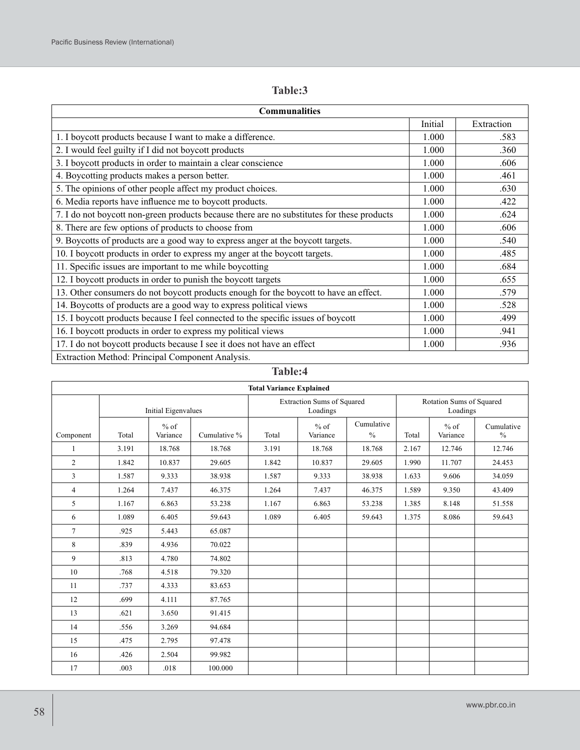# **Table:3**

| <b>Communalities</b>                                                                       |         |            |  |  |  |  |
|--------------------------------------------------------------------------------------------|---------|------------|--|--|--|--|
|                                                                                            | Initial | Extraction |  |  |  |  |
| 1. I boycott products because I want to make a difference.                                 | 1.000   | .583       |  |  |  |  |
| 2. I would feel guilty if I did not boycott products                                       | 1.000   | .360       |  |  |  |  |
| 3. I boycott products in order to maintain a clear conscience                              | 1.000   | .606       |  |  |  |  |
| 4. Boycotting products makes a person better.                                              | 1.000   | .461       |  |  |  |  |
| 5. The opinions of other people affect my product choices.                                 | 1.000   | .630       |  |  |  |  |
| 6. Media reports have influence me to boycott products.                                    | 1.000   | .422       |  |  |  |  |
| 7. I do not boycott non-green products because there are no substitutes for these products | 1.000   | .624       |  |  |  |  |
| 8. There are few options of products to choose from                                        | 1.000   | .606       |  |  |  |  |
| 9. Boycotts of products are a good way to express anger at the boycott targets.            | 1.000   | .540       |  |  |  |  |
| 10. I boycott products in order to express my anger at the boycott targets.                | 1.000   | .485       |  |  |  |  |
| 11. Specific issues are important to me while boycotting                                   | 1.000   | .684       |  |  |  |  |
| 12. I boycott products in order to punish the boycott targets                              | 1.000   | .655       |  |  |  |  |
| 13. Other consumers do not boycott products enough for the boycott to have an effect.      | 1.000   | .579       |  |  |  |  |
| 14. Boycotts of products are a good way to express political views                         | 1.000   | .528       |  |  |  |  |
| 15. I boycott products because I feel connected to the specific issues of boycott          | 1.000   | .499       |  |  |  |  |
| 16. I boycott products in order to express my political views                              | 1.000   | .941       |  |  |  |  |
| 17. I do not boycott products because I see it does not have an effect                     | 1.000   | .936       |  |  |  |  |
| Extraction Method: Principal Component Analysis.                                           |         |            |  |  |  |  |

### **Table:4**

| <b>Total Variance Explained</b> |       |                     |              |                                               |                    |                                      |       |                    |                             |
|---------------------------------|-------|---------------------|--------------|-----------------------------------------------|--------------------|--------------------------------------|-------|--------------------|-----------------------------|
|                                 |       | Initial Eigenvalues |              | <b>Extraction Sums of Squared</b><br>Loadings |                    | Rotation Sums of Squared<br>Loadings |       |                    |                             |
| Component                       | Total | $%$ of<br>Variance  | Cumulative % | Total                                         | $%$ of<br>Variance | Cumulative<br>$\frac{0}{0}$          | Total | $%$ of<br>Variance | Cumulative<br>$\frac{0}{0}$ |
| 1                               | 3.191 | 18.768              | 18.768       | 3.191                                         | 18.768             | 18.768                               | 2.167 | 12.746             | 12.746                      |
| 2                               | 1.842 | 10.837              | 29.605       | 1.842                                         | 10.837             | 29.605                               | 1.990 | 11.707             | 24.453                      |
| 3                               | 1.587 | 9.333               | 38.938       | 1.587                                         | 9.333              | 38.938                               | 1.633 | 9.606              | 34.059                      |
| $\overline{4}$                  | 1.264 | 7.437               | 46.375       | 1.264                                         | 7.437              | 46.375                               | 1.589 | 9.350              | 43.409                      |
| 5                               | 1.167 | 6.863               | 53.238       | 1.167                                         | 6.863              | 53.238                               | 1.385 | 8.148              | 51.558                      |
| 6                               | 1.089 | 6.405               | 59.643       | 1.089                                         | 6.405              | 59.643                               | 1.375 | 8.086              | 59.643                      |
| $7\phantom{.0}$                 | .925  | 5.443               | 65.087       |                                               |                    |                                      |       |                    |                             |
| 8                               | .839  | 4.936               | 70.022       |                                               |                    |                                      |       |                    |                             |
| 9                               | .813  | 4.780               | 74.802       |                                               |                    |                                      |       |                    |                             |
| 10                              | .768  | 4.518               | 79.320       |                                               |                    |                                      |       |                    |                             |
| 11                              | .737  | 4.333               | 83.653       |                                               |                    |                                      |       |                    |                             |
| 12                              | .699  | 4.111               | 87.765       |                                               |                    |                                      |       |                    |                             |
| 13                              | .621  | 3.650               | 91.415       |                                               |                    |                                      |       |                    |                             |
| 14                              | .556  | 3.269               | 94.684       |                                               |                    |                                      |       |                    |                             |
| 15                              | .475  | 2.795               | 97.478       |                                               |                    |                                      |       |                    |                             |
| 16                              | .426  | 2.504               | 99.982       |                                               |                    |                                      |       |                    |                             |
| 17                              | .003  | .018                | 100.000      |                                               |                    |                                      |       |                    |                             |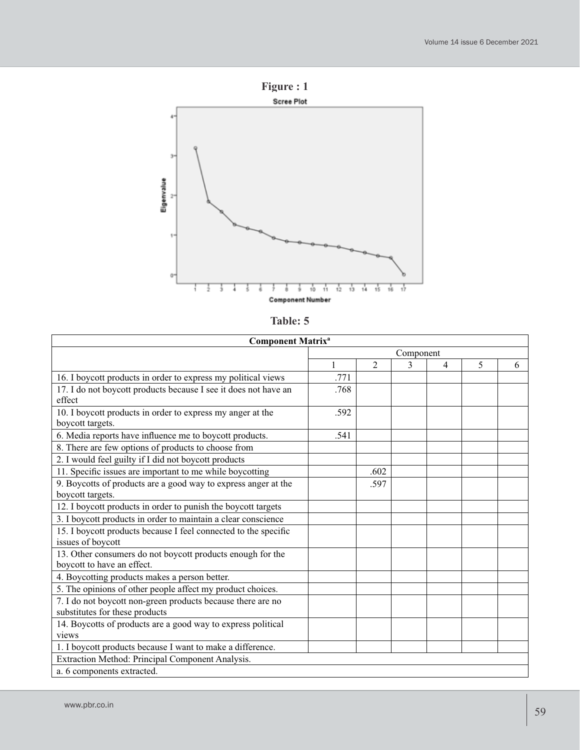

| `able |  |
|-------|--|
|-------|--|

| <b>Component Matrix<sup>a</sup></b>                             |           |                |   |                |   |   |
|-----------------------------------------------------------------|-----------|----------------|---|----------------|---|---|
|                                                                 | Component |                |   |                |   |   |
|                                                                 | 1         | $\overline{2}$ | 3 | $\overline{4}$ | 5 | 6 |
| 16. I boycott products in order to express my political views   | .771      |                |   |                |   |   |
| 17. I do not boycott products because I see it does not have an | .768      |                |   |                |   |   |
| effect                                                          |           |                |   |                |   |   |
| 10. I boycott products in order to express my anger at the      | .592      |                |   |                |   |   |
| boycott targets.                                                |           |                |   |                |   |   |
| 6. Media reports have influence me to boycott products.         | .541      |                |   |                |   |   |
| 8. There are few options of products to choose from             |           |                |   |                |   |   |
| 2. I would feel guilty if I did not boycott products            |           |                |   |                |   |   |
| 11. Specific issues are important to me while boycotting        |           | .602           |   |                |   |   |
| 9. Boycotts of products are a good way to express anger at the  |           | .597           |   |                |   |   |
| boycott targets.                                                |           |                |   |                |   |   |
| 12. I boycott products in order to punish the boycott targets   |           |                |   |                |   |   |
| 3. I boycott products in order to maintain a clear conscience   |           |                |   |                |   |   |
| 15. I boycott products because I feel connected to the specific |           |                |   |                |   |   |
| issues of boycott                                               |           |                |   |                |   |   |
| 13. Other consumers do not boycott products enough for the      |           |                |   |                |   |   |
| boycott to have an effect.                                      |           |                |   |                |   |   |
| 4. Boycotting products makes a person better.                   |           |                |   |                |   |   |
| 5. The opinions of other people affect my product choices.      |           |                |   |                |   |   |
| 7. I do not boycott non-green products because there are no     |           |                |   |                |   |   |
| substitutes for these products                                  |           |                |   |                |   |   |
| 14. Boycotts of products are a good way to express political    |           |                |   |                |   |   |
| views                                                           |           |                |   |                |   |   |
| 1. I boycott products because I want to make a difference.      |           |                |   |                |   |   |
| Extraction Method: Principal Component Analysis.                |           |                |   |                |   |   |
| a. 6 components extracted.                                      |           |                |   |                |   |   |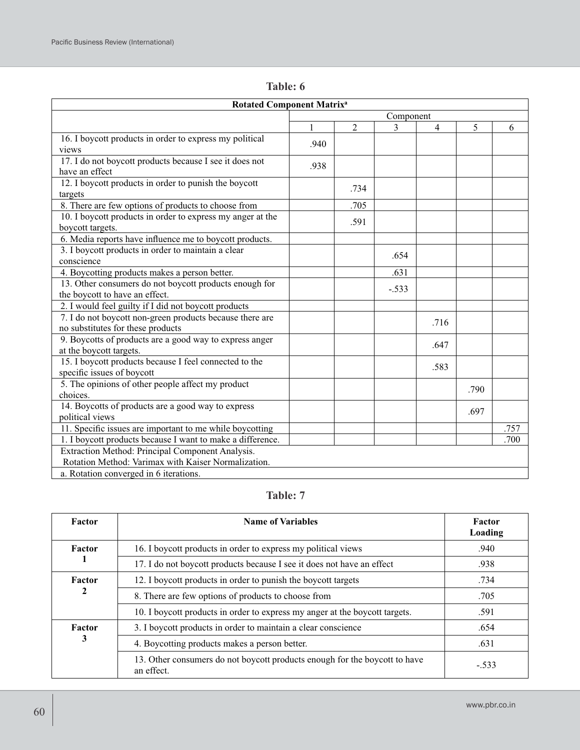| <b>Rotated Component Matrix<sup>a</sup></b>                |           |                |              |      |      |      |  |
|------------------------------------------------------------|-----------|----------------|--------------|------|------|------|--|
|                                                            | Component |                |              |      |      |      |  |
|                                                            | 1         | $\overline{2}$ | $\mathbf{3}$ | 4    | 5    | 6    |  |
| 16. I boycott products in order to express my political    |           |                |              |      |      |      |  |
| views                                                      | .940      |                |              |      |      |      |  |
| 17. I do not boycott products because I see it does not    | .938      |                |              |      |      |      |  |
| have an effect                                             |           |                |              |      |      |      |  |
| 12. I boycott products in order to punish the boycott      |           | .734           |              |      |      |      |  |
| targets                                                    |           |                |              |      |      |      |  |
| 8. There are few options of products to choose from        |           | .705           |              |      |      |      |  |
| 10. I boycott products in order to express my anger at the |           | .591           |              |      |      |      |  |
| boycott targets.                                           |           |                |              |      |      |      |  |
| 6. Media reports have influence me to boycott products.    |           |                |              |      |      |      |  |
| 3. I boycott products in order to maintain a clear         |           |                | .654         |      |      |      |  |
| conscience                                                 |           |                |              |      |      |      |  |
| 4. Boycotting products makes a person better.              |           |                | .631         |      |      |      |  |
| 13. Other consumers do not boycott products enough for     |           |                | $-.533$      |      |      |      |  |
| the boycott to have an effect.                             |           |                |              |      |      |      |  |
| 2. I would feel guilty if I did not boycott products       |           |                |              |      |      |      |  |
| 7. I do not boycott non-green products because there are   |           |                |              | .716 |      |      |  |
| no substitutes for these products                          |           |                |              |      |      |      |  |
| 9. Boycotts of products are a good way to express anger    |           |                |              | .647 |      |      |  |
| at the boycott targets.                                    |           |                |              |      |      |      |  |
| 15. I boycott products because I feel connected to the     |           |                |              | .583 |      |      |  |
| specific issues of boycott                                 |           |                |              |      |      |      |  |
| 5. The opinions of other people affect my product          |           |                |              |      | .790 |      |  |
| choices.                                                   |           |                |              |      |      |      |  |
| 14. Boycotts of products are a good way to express         |           |                |              |      | .697 |      |  |
| political views                                            |           |                |              |      |      |      |  |
| 11. Specific issues are important to me while boycotting   |           |                |              |      |      | .757 |  |
| 1. I boycott products because I want to make a difference. |           |                |              |      |      | .700 |  |
| Extraction Method: Principal Component Analysis.           |           |                |              |      |      |      |  |
| Rotation Method: Varimax with Kaiser Normalization.        |           |                |              |      |      |      |  |
| a. Rotation converged in 6 iterations.                     |           |                |              |      |      |      |  |

**Table: 6**

# **Table: 7**

| Factor | <b>Name of Variables</b>                                                                 | Factor<br>Loading |
|--------|------------------------------------------------------------------------------------------|-------------------|
| Factor | 16. I boycott products in order to express my political views                            | .940              |
|        | 17. I do not boycott products because I see it does not have an effect                   | .938              |
| Factor | 12. I boycott products in order to punish the boycott targets                            | .734              |
| 2      | 8. There are few options of products to choose from                                      | .705              |
|        | 10. I boycott products in order to express my anger at the boycott targets.              | .591              |
| Factor | 3. I boycott products in order to maintain a clear conscience                            | .654              |
| 3      | 4. Boycotting products makes a person better.                                            | .631              |
|        | 13. Other consumers do not boycott products enough for the boycott to have<br>an effect. | $-.533$           |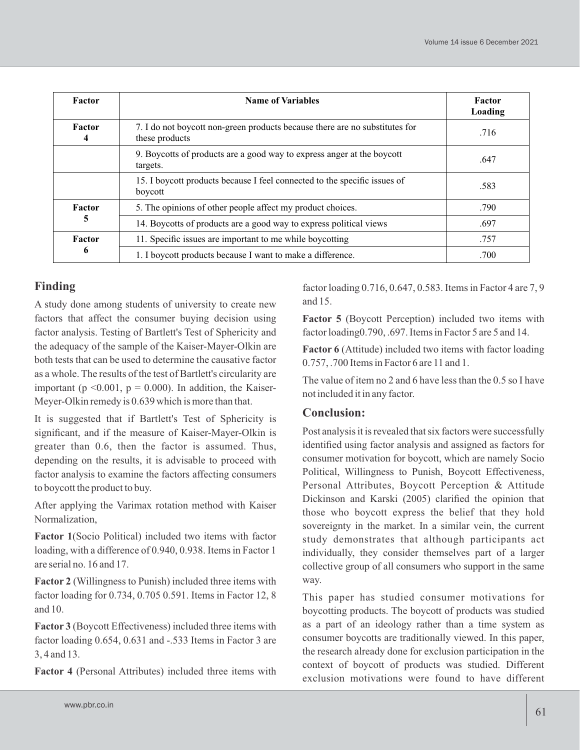| Factor      | <b>Name of Variables</b>                                                                      | Factor<br>Loading |
|-------------|-----------------------------------------------------------------------------------------------|-------------------|
| Factor<br>4 | 7. I do not boycott non-green products because there are no substitutes for<br>these products | .716              |
|             | 9. Boycotts of products are a good way to express anger at the boycott<br>targets.            | .647              |
|             | 15. I boycott products because I feel connected to the specific issues of<br>boycott          | .583              |
| Factor      | 5. The opinions of other people affect my product choices.                                    | .790              |
| ∍           | 14. Boycotts of products are a good way to express political views                            | .697              |
| Factor      | 11. Specific issues are important to me while boycotting                                      | .757              |
| 6           | 1. I boycott products because I want to make a difference.                                    | .700              |

# **Finding**

A study done among students of university to create new factors that affect the consumer buying decision using factor analysis. Testing of Bartlett's Test of Sphericity and the adequacy of the sample of the Kaiser-Mayer-Olkin are both tests that can be used to determine the causative factor as a whole. The results of the test of Bartlett's circularity are important ( $p \le 0.001$ ,  $p = 0.000$ ). In addition, the Kaiser-Meyer-Olkin remedy is 0.639 which is more than that.

It is suggested that if Bartlett's Test of Sphericity is significant, and if the measure of Kaiser-Mayer-Olkin is greater than 0.6, then the factor is assumed. Thus, depending on the results, it is advisable to proceed with factor analysis to examine the factors affecting consumers to boycott the product to buy.

After applying the Varimax rotation method with Kaiser Normalization,

**Factor 1**(Socio Political) included two items with factor loading, with a difference of 0.940, 0.938. Items in Factor 1 are serial no. 16 and 17.

**Factor 2** (Willingness to Punish) included three items with factor loading for 0.734, 0.705 0.591. Items in Factor 12, 8 and 10.

**Factor 3** (Boycott Effectiveness) included three items with factor loading 0.654, 0.631 and -.533 Items in Factor 3 are 3, 4 and 13.

**Factor 4** (Personal Attributes) included three items with

factor loading 0.716, 0.647, 0.583. Items in Factor 4 are 7, 9 and 15.

**Factor 5** (Boycott Perception) included two items with factor loading0.790, .697. Items in Factor 5 are 5 and 14.

**Factor 6** (Attitude) included two items with factor loading 0.757, .700 Items in Factor 6 are 11 and 1.

The value of item no 2 and 6 have less than the 0.5 so I have not included it in any factor.

# **Conclusion:**

Post analysis it is revealed that six factors were successfully identified using factor analysis and assigned as factors for consumer motivation for boycott, which are namely Socio Political, Willingness to Punish, Boycott Effectiveness, Personal Attributes, Boycott Perception & Attitude Dickinson and Karski (2005) clarified the opinion that those who boycott express the belief that they hold sovereignty in the market. In a similar vein, the current study demonstrates that although participants act individually, they consider themselves part of a larger collective group of all consumers who support in the same way.

This paper has studied consumer motivations for boycotting products. The boycott of products was studied as a part of an ideology rather than a time system as consumer boycotts are traditionally viewed. In this paper, the research already done for exclusion participation in the context of boycott of products was studied. Different exclusion motivations were found to have different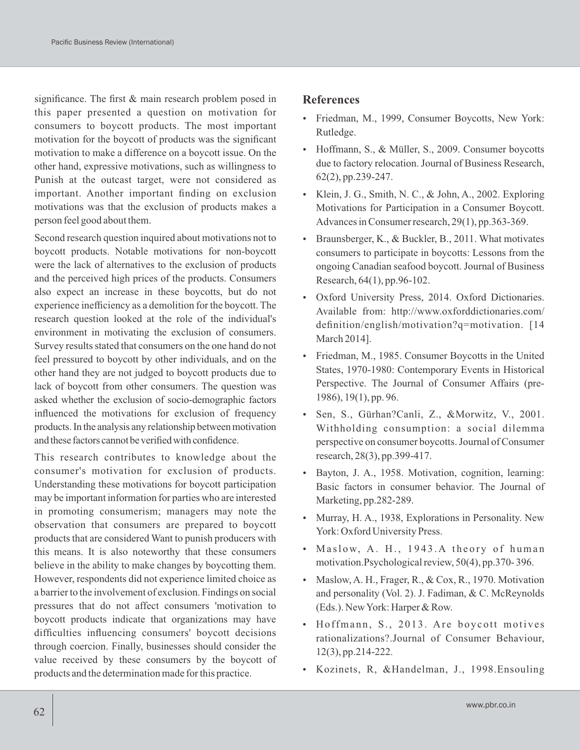significance. The first & main research problem posed in this paper presented a question on motivation for consumers to boycott products. The most important motivation for the boycott of products was the significant motivation to make a difference on a boycott issue. On the other hand, expressive motivations, such as willingness to Punish at the outcast target, were not considered as important. Another important finding on exclusion motivations was that the exclusion of products makes a person feel good about them.

Second research question inquired about motivations not to boycott products. Notable motivations for non-boycott were the lack of alternatives to the exclusion of products and the perceived high prices of the products. Consumers also expect an increase in these boycotts, but do not experience inefficiency as a demolition for the boycott. The research question looked at the role of the individual's environment in motivating the exclusion of consumers. Survey results stated that consumers on the one hand do not feel pressured to boycott by other individuals, and on the other hand they are not judged to boycott products due to lack of boycott from other consumers. The question was asked whether the exclusion of socio-demographic factors influenced the motivations for exclusion of frequency products. In the analysis any relationship between motivation and these factors cannot be verified with confidence.

This research contributes to knowledge about the consumer's motivation for exclusion of products. Understanding these motivations for boycott participation may be important information for parties who are interested in promoting consumerism; managers may note the observation that consumers are prepared to boycott products that are considered Want to punish producers with this means. It is also noteworthy that these consumers believe in the ability to make changes by boycotting them. However, respondents did not experience limited choice as a barrier to the involvement of exclusion. Findings on social pressures that do not affect consumers 'motivation to boycott products indicate that organizations may have difficulties influencing consumers' boycott decisions through coercion. Finally, businesses should consider the value received by these consumers by the boycott of products and the determination made for this practice.

#### **References**

- Friedman, M., 1999, Consumer Boycotts, New York: Rutledge.
- Hoffmann, S., & Müller, S., 2009. Consumer boycotts due to factory relocation. Journal of Business Research, 62(2), pp.239-247.
- Klein, J. G., Smith, N. C., & John, A., 2002. Exploring Motivations for Participation in a Consumer Boycott. Advances in Consumer research, 29(1), pp.363-369.
- $\bullet$  Braunsberger, K., & Buckler, B., 2011. What motivates consumers to participate in boycotts: Lessons from the ongoing Canadian seafood boycott. Journal of Business Research, 64(1), pp.96-102.
- Oxford University Press, 2014. Oxford Dictionaries. Available from: http://www.oxforddictionaries.com/ definition/english/motivation?q=motivation. [14] March 2014].
- Friedman, M., 1985. Consumer Boycotts in the United States, 1970-1980: Contemporary Events in Historical Perspective. The Journal of Consumer Affairs (pre-1986), 19(1), pp. 96.
- Sen, S., Gürhan?Canli, Z., &Morwitz, V., 2001. Withholding consumption: a social dilemma perspective on consumer boycotts. Journal of Consumer research, 28(3), pp.399-417.
- Bayton, J. A., 1958. Motivation, cognition, learning: Basic factors in consumer behavior. The Journal of Marketing, pp.282-289.
- Murray, H. A., 1938, Explorations in Personality. New York: Oxford University Press.
- $\bullet$  Maslow, A. H., 1943. A theory of human motivation.Psychological review, 50(4), pp.370- 396.
- Maslow, A. H., Frager, R., & Cox, R., 1970. Motivation and personality (Vol. 2). J. Fadiman, & C. McReynolds (Eds.). New York: Harper & Row.
- Hoffmann, S., 2013. Are boycott motives rationalizations?.Journal of Consumer Behaviour, 12(3), pp.214-222.
- Kozinets, R, &Handelman, J., 1998.Ensouling